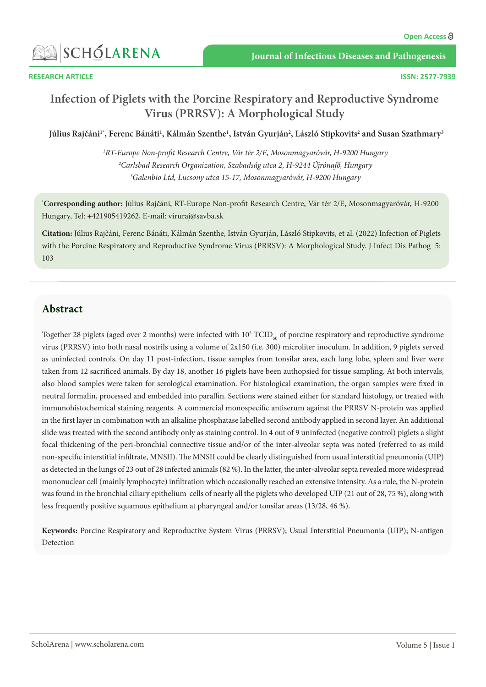

**ISSN: 2577-7939**

# **Infection of Piglets with the Porcine Respiratory and Reproductive Syndrome Virus (PRRSV): A Morphological Study**

Július Rajčáni<sup>1</sup>', Ferenc Bánáti<sup>1</sup>, Kálmán Szenthe<sup>1</sup>, István Gyurján<sup>2</sup>, László Stipkovits<sup>2</sup> and Susan Szathmary<sup>3</sup>

*1 RT-Europe Non-profit Research Centre, Vár tér 2/E, Mosonmagyaróvár, H-9200 Hungary 2 Carlsbad Research Organization, Szabadság utca 2, H-9244 Újrónafő, Hungary 3 Galenbio Ltd, Lucsony utca 15-17, Mosonmagyaróvár, H-9200 Hungary*

**\* Corresponding author:** Július Rajčáni, RT-Europe Non-profit Research Centre, Vár tér 2/E, Mosonmagyaróvár, H-9200 Hungary, Tel: +421905419262, E-mail: viruraj@savba.sk

**Citation:** Július Rajčáni, Ferenc Bánáti, Kálmán Szenthe, István Gyurján, László Stipkovits, et al. (2022) Infection of Piglets with the Porcine Respiratory and Reproductive Syndrome Virus (PRRSV): A Morphological Study. J Infect Dis Pathog 5: 103

## **Abstract**

Together 28 piglets (aged over 2 months) were infected with  $10^5$  TCID<sub>50</sub> of porcine respiratory and reproductive syndrome virus (PRRSV) into both nasal nostrils using a volume of 2x150 (i.e. 300) microliter inoculum. In addition, 9 piglets served as uninfected controls. On day 11 post-infection, tissue samples from tonsilar area, each lung lobe, spleen and liver were taken from 12 sacrificed animals. By day 18, another 16 piglets have been authopsied for tissue sampling. At both intervals, also blood samples were taken for serological examination. For histological examination, the organ samples were fixed in neutral formalin, processed and embedded into paraffin. Sections were stained either for standard histology, or treated with immunohistochemical staining reagents. A commercial monospecific antiserum against the PRRSV N-protein was applied in the first layer in combination with an alkaline phosphatase labelled second antibody applied in second layer. An additional slide was treated with the second antibody only as staining control. In 4 out of 9 uninfected (negative control) piglets a slight focal thickening of the peri-bronchial connective tissue and/or of the inter-alveolar septa was noted (referred to as mild non-specific interstitial infiltrate, MNSII). The MNSII could be clearly distinguished from usual interstitial pneumonia (UIP) as detected in the lungs of 23 out of 28 infected animals (82 %). In the latter, the inter-alveolar septa revealed more widespread mononuclear cell (mainly lymphocyte) infiltration which occasionally reached an extensive intensity. As a rule, the N-protein was found in the bronchial ciliary epithelium cells of nearly all the piglets who developed UIP (21 out of 28, 75 %), along with less frequently positive squamous epithelium at pharyngeal and/or tonsilar areas (13/28, 46 %).

**Keywords:** Porcine Respiratory and Reproductive System Virus (PRRSV); Usual Interstitial Pneumonia (UIP); N-antigen Detection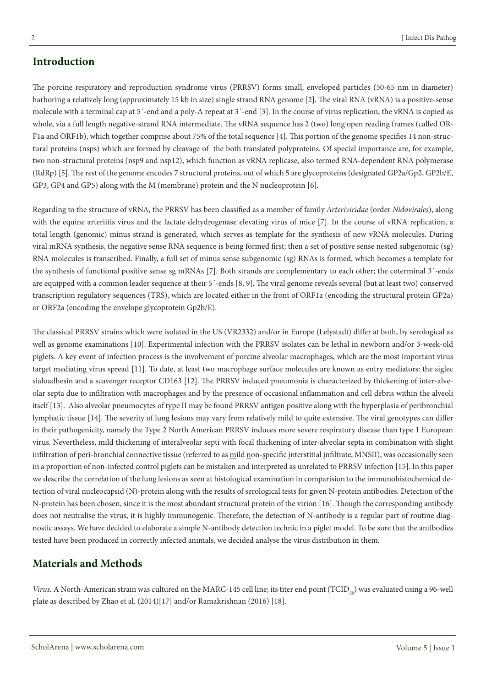The porcine respiratory and reproduction syndrome virus (PRRSV) forms small, enveloped particles (50-65 nm in diameter) harboring a relatively long (approximately 15 kb in size) single strand RNA genome [2]. The viral RNA (vRNA) is a positive-sense molecule with a terminal cap at 5´-end and a poly-A repeat at 3´-end [3]. In the course of virus replication, the vRNA is copied as whole, via a full length negative-strand RNA intermediate. The vRNA sequence has 2 (two) long open reading frames (called OR-F1a and ORF1b), which together comprise about 75% of the total sequence [4]. This portion of the genome specifies 14 non-structural proteins (nsps) which are formed by cleavage of the both translated polyproteins. Of special importance are, for example, two non-structural proteins (nsp9 and nsp12), which function as vRNA replicase, also termed RNA-dependent RNA polymerase (RdRp) [5]. The rest of the genome encodes 7 structural proteins, out of which 5 are glycoproteins (designated GP2a/Gp2, GP2b/E, GP3, GP4 and GP5) along with the M (membrane) protein and the N nucleoprotein [6].

Regarding to the structure of vRNA, the PRRSV has been classified as a member of family *Arteriviridae* (order *Nidovirales*), along with the equine arteriitis virus and the lactate dehydrogenase elevating virus of mice [7]. In the course of vRNA replication, a total length (genomic) minus strand is generated, which serves as template for the synthesis of new vRNA molecules. During viral mRNA synthesis, the negative sense RNA sequence is being formed first; then a set of positive sense nested subgenomic (sg) RNA molecules is transcribed. Finally, a full set of minus sense subgenomic (sg) RNAs is formed, which becomes a template for the synthesis of functional positive sense sg mRNAs [7]. Both strands are complementary to each other; the coterminal 3'-ends are equipped with a common leader sequence at their 5´-ends [8, 9]. The viral genome reveals several (but at least two) conserved transcription regulatory sequences (TRS), which are located either in the front of ORF1a (encoding the structural protein GP2a) or ORF2a (encoding the envelope glycoprotein Gp2b/E).

The classical PRRSV strains which were isolated in the US (VR2332) and/or in Europe (Lelystadt) differ at both, by serological as well as genome examinations [10]. Experimental infection with the PRRSV isolates can be lethal in newborn and/or 3-week-old piglets. A key event of infection process is the involvement of porcine alveolar macrophages, which are the most important virus target mediating virus spread [11]. To date, at least two macrophage surface molecules are known as entry mediators: the siglec sialoadhesin and a scavenger receptor CD163 [12]. The PRRSV induced pneumonia is characterized by thickening of inter-alveolar septa due to infiltration with macrophages and by the presence of occasional inflammation and cell debris within the alveoli itself [13]. Also alveolar pneumocytes of type II may be found PRRSV antigen positive along with the hyperplasia of peribronchial lymphatic tissue [14]. The severity of lung lesions may vary from relatively mild to quite extensive. The viral genotypes can differ in their pathogenicity, namely the Type 2 North American PRRSV induces more severe respiratory disease than type 1 European virus. Nevertheless, mild thickening of interalveolar septi with focal thickening of inter-alveolar septa in combination with slight infiltration of peri-bronchial connective tissue (referred to as mild non-specific interstitial infiltrate, MNSII), was occasionally seen in a proportion of non-infected control piglets can be mistaken and interpreted as unrelated to PRRSV infection [15]. In this paper we describe the correlation of the lung lesions as seen at histological examination in comparision to the immunohistochemical detection of viral nucleocapsid (N)-protein along with the results of serological tests for given N-protein antibodies. Detection of the N-protein has been chosen, since it is the most abundant structural protein of the virion [16]. Though the corresponding antibody does not neutralise the virus, it is highly immunogenic. Therefore, the detection of N-antibody is a regular part of routine diagnostic assays. We have decided to elaborate a simple N-antibody detection technic in a piglet model. To be sure that the antibodies tested have been produced in correctly infected animals, we decided analyse the virus distribution in them.

#### **Materials and Methods**

*Virus.* A North-American strain was cultured on the MARC-145 cell line; its titer end point ( $TCID<sub>50</sub>$ ) was evaluated using a 96-well plate as described by Zhao et al. (2014)[17] and/or Ramakrishnan (2016) [18].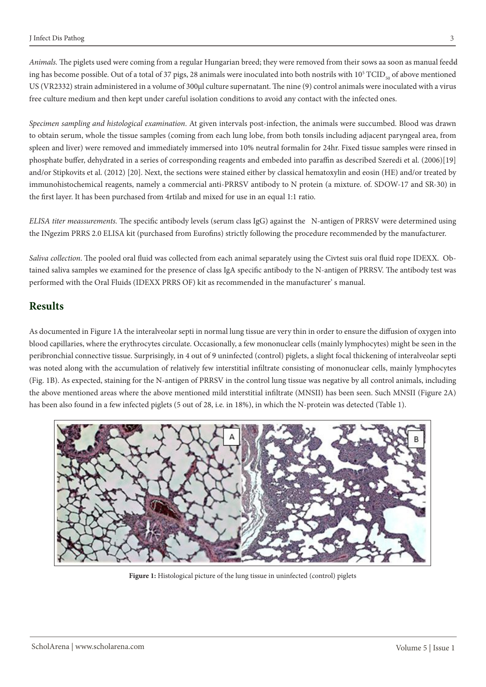*Animals*. The piglets used were coming from a regular Hungarian breed; they were removed from their sows aa soon as manual feedd ing has become possible. Out of a total of 37 pigs, 28 animals were inoculated into both nostrils with  $10^5$  TCID  $_{50}$  of above mentioned US (VR2332) strain administered in a volume of 300µl culture supernatant. The nine (9) control animals were inoculated with a virus free culture medium and then kept under careful isolation conditions to avoid any contact with the infected ones.

*Specimen sampling and histological examination*. At given intervals post-infection, the animals were succumbed. Blood was drawn to obtain serum, whole the tissue samples (coming from each lung lobe, from both tonsils including adjacent paryngeal area, from spleen and liver) were removed and immediately immersed into 10% neutral formalin for 24hr. Fixed tissue samples were rinsed in phosphate buffer, dehydrated in a series of corresponding reagents and embeded into paraffin as described Szeredi et al. (2006)[19] and/or Stipkovits et al. (2012) [20]. Next, the sections were stained either by classical hematoxylin and eosin (HE) and/or treated by immunohistochemical reagents, namely a commercial anti-PRRSV antibody to N protein (a mixture. of. SDOW-17 and SR-30) in the first layer. It has been purchased from 4rtilab and mixed for use in an equal 1:1 ratio.

*ELISA titer meassurements.* The specific antibody levels (serum class IgG) against the N-antigen of PRRSV were determined using the INgezim PRRS 2.0 ELISA kit (purchased from Eurofins) strictly following the procedure recommended by the manufacturer.

*Saliva collection*. The pooled oral fluid was collected from each animal separately using the Civtest suis oral fluid rope IDEXX. Obtained saliva samples we examined for the presence of class IgA specific antibody to the N-antigen of PRRSV. The antibody test was performed with the Oral Fluids (IDEXX PRRS OF) kit as recommended in the manufacturer' s manual.

#### **Results**

As documented in Figure 1A the interalveolar septi in normal lung tissue are very thin in order to ensure the diffusion of oxygen into blood capillaries, where the erythrocytes circulate. Occasionally, a few mononuclear cells (mainly lymphocytes) might be seen in the peribronchial connective tissue. Surprisingly, in 4 out of 9 uninfected (control) piglets, a slight focal thickening of interalveolar septi was noted along with the accumulation of relatively few interstitial infiltrate consisting of mononuclear cells, mainly lymphocytes (Fig. 1B). As expected, staining for the N-antigen of PRRSV in the control lung tissue was negative by all control animals, including the above mentioned areas where the above mentioned mild interstitial infiltrate (MNSII) has been seen. Such MNSII (Figure 2A) has been also found in a few infected piglets (5 out of 28, i.e. in 18%), in which the N-protein was detected (Table 1).



Figure 1: Histological picture of the lung tissue in uninfected (control) piglets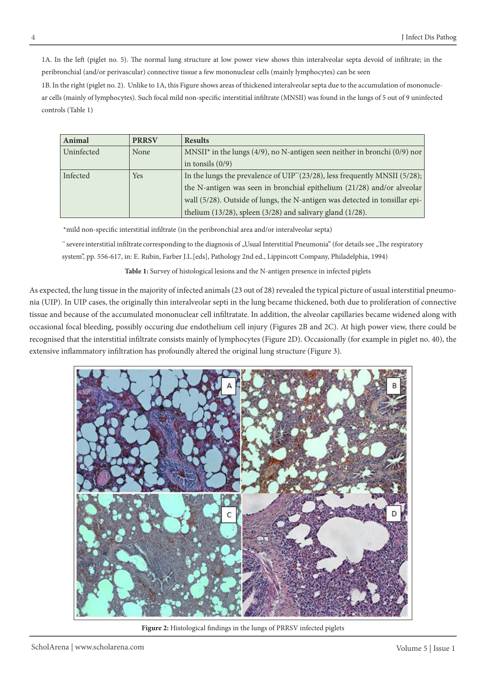1A. In the left (piglet no. 5). The normal lung structure at low power view shows thin interalveolar septa devoid of infiltrate; in the peribronchial (and/or perivascular) connective tissue a few mononuclear cells (mainly lymphocytes) can be seen

1B. In the right (piglet no. 2). Unlike to 1A, this Figure shows areas of thickened interalveolar septa due to the accumulation of mononuclear cells (mainly of lymphocytes). Such focal mild non-specific interstitial infiltrate (MNSII) was found in the lungs of 5 out of 9 uninfected controls (Table 1)

| Animal     | <b>PRRSV</b> | <b>Results</b>                                                                          |  |  |
|------------|--------------|-----------------------------------------------------------------------------------------|--|--|
| Uninfected | None         | MNSII <sup>*</sup> in the lungs (4/9), no N-antigen seen neither in bronchi (0/9) nor   |  |  |
|            |              | in tonsils $(0/9)$                                                                      |  |  |
| Infected   | <b>Yes</b>   | In the lungs the prevalence of UIP <sup>**</sup> (23/28), less frequently MNSII (5/28); |  |  |
|            |              | the N-antigen was seen in bronchial epithelium (21/28) and/or alveolar                  |  |  |
|            |              | wall (5/28). Outside of lungs, the N-antigen was detected in tonsillar epi-             |  |  |
|            |              | thelium $(13/28)$ , spleen $(3/28)$ and salivary gland $(1/28)$ .                       |  |  |

\*mild non-specific interstitial infiltrate (in the peribronchial area and/or interalveolar septa)

\*\* severe interstitial infiltrate corresponding to the diagnosis of "Usual Interstitial Pneumonia" (for details see "The respiratory system", pp. 556-617, in: E. Rubin, Farber J.L.[eds], Pathology 2nd ed., Lippincott Company, Philadelphia, 1994)

**Table 1:** Survey of histological lesions and the N-antigen presence in infected piglets

As expected, the lung tissue in the majority of infected animals (23 out of 28) revealed the typical picture of usual interstitial pneumonia (UIP). In UIP cases, the originally thin interalveolar septi in the lung became thickened, both due to proliferation of connective tissue and because of the accumulated mononuclear cell infiltratate. In addition, the alveolar capillaries became widened along with occasional focal bleeding, possibly occuring due endothelium cell injury (Figures 2B and 2C). At high power view, there could be recognised that the interstitial infiltrate consists mainly of lymphocytes (Figure 2D). Occasionally (for example in piglet no. 40), the extensive inflammatory infiltration has profoundly altered the original lung structure (Figure 3).



**Figure 2:** Histological findings in the lungs of PRRSV infected piglets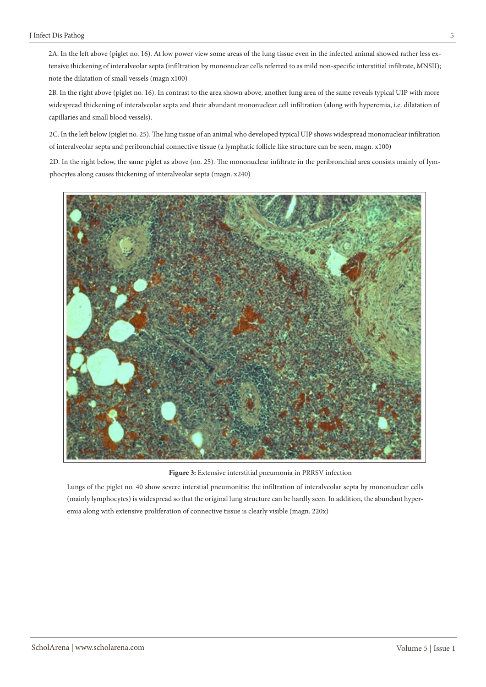2A. In the left above (piglet no. 16). At low power view some areas of the lung tissue even in the infected animal showed rather less extensive thickening of interalveolar septa (infiltration by mononuclear cells referred to as mild non-specific interstitial infiltrate, MNSII); note the dilatation of small vessels (magn x100)

2B. In the right above (piglet no. 16). In contrast to the area shown above, another lung area of the same reveals typical UIP with more widespread thickening of interalveolar septa and their abundant mononuclear cell infiltration (along with hyperemia, i.e. dilatation of capillaries and small blood vessels).

2C. In the left below (piglet no. 25). The lung tissue of an animal who developed typical UIP shows widespread mononuclear infiltration of interalveolar septa and peribronchial connective tissue (a lymphatic follicle like structure can be seen, magn. x100)

2D. In the right below, the same piglet as above (no. 25). The mononuclear infiltrate in the peribronchial area consists mainly of lymphocytes along causes thickening of interalveolar septa (magn. x240)



**Figure 3:** Extensive interstitial pneumonia in PRRSV infection

Lungs of the piglet no. 40 show severe interstial pneumonitis: the infiltration of interalveolar septa by mononuclear cells (mainly lymphocytes) is widespread so that the original lung structure can be hardly seen. In addition, the abundant hyperemia along with extensive proliferation of connective tissue is clearly visible (magn. 220x)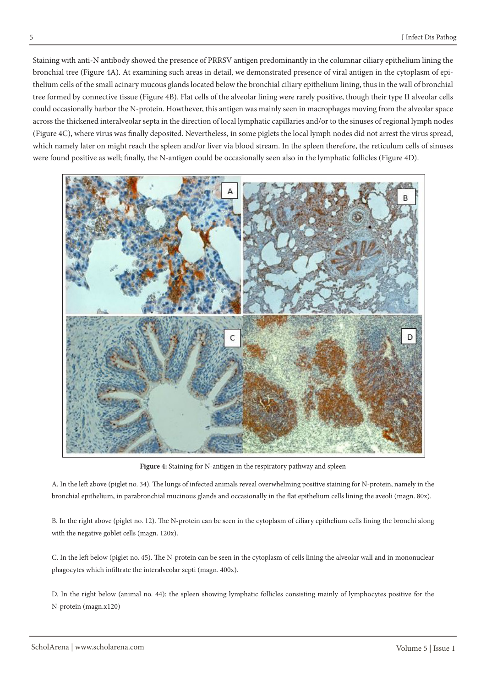Staining with anti-N antibody showed the presence of PRRSV antigen predominantly in the columnar ciliary epithelium lining the bronchial tree (Figure 4A). At examining such areas in detail, we demonstrated presence of viral antigen in the cytoplasm of epithelium cells of the small acinary mucous glands located below the bronchial ciliary epithelium lining, thus in the wall of bronchial tree formed by connective tissue (Figure 4B). Flat cells of the alveolar lining were rarely positive, though their type II alveolar cells could occasionally harbor the N-protein. Howthever, this antigen was mainly seen in macrophages moving from the alveolar space across the thickened interalveolar septa in the direction of local lymphatic capillaries and/or to the sinuses of regional lymph nodes (Figure 4C), where virus was finally deposited. Nevertheless, in some piglets the local lymph nodes did not arrest the virus spread, which namely later on might reach the spleen and/or liver via blood stream. In the spleen therefore, the reticulum cells of sinuses were found positive as well; finally, the N-antigen could be occasionally seen also in the lymphatic follicles (Figure 4D).



Figure 4: Staining for N-antigen in the respiratory pathway and spleen

A. In the left above (piglet no. 34). The lungs of infected animals reveal overwhelming positive staining for N-protein, namely in the bronchial epithelium, in parabronchial mucinous glands and occasionally in the flat epithelium cells lining the aveoli (magn. 80x).

B. In the right above (piglet no. 12). The N-protein can be seen in the cytoplasm of ciliary epithelium cells lining the bronchi along with the negative goblet cells (magn. 120x).

C. In the left below (piglet no. 45). The N-protein can be seen in the cytoplasm of cells lining the alveolar wall and in mononuclear phagocytes which infiltrate the interalveolar septi (magn. 400x).

D. In the right below (animal no. 44): the spleen showing lymphatic follicles consisting mainly of lymphocytes positive for the N-protein (magn.x120)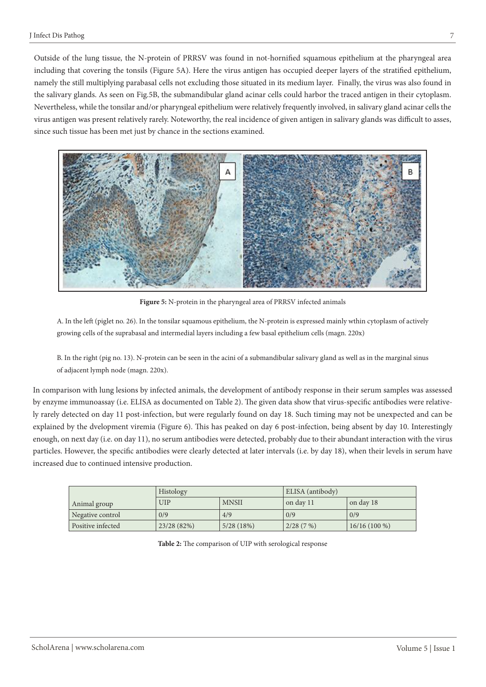Outside of the lung tissue, the N-protein of PRRSV was found in not-hornified squamous epithelium at the pharyngeal area including that covering the tonsils (Figure 5A). Here the virus antigen has occupied deeper layers of the stratified epithelium, namely the still multiplying parabasal cells not excluding those situated in its medium layer. Finally, the virus was also found in the salivary glands. As seen on Fig.5B, the submandibular gland acinar cells could harbor the traced antigen in their cytoplasm. Nevertheless, while the tonsilar and/or pharyngeal epithelium were relatively frequently involved, in salivary gland acinar cells the virus antigen was present relatively rarely. Noteworthy, the real incidence of given antigen in salivary glands was difficult to asses, since such tissue has been met just by chance in the sections examined.



**Figure 5:** N-protein in the pharyngeal area of PRRSV infected animals

A. In the left (piglet no. 26). In the tonsilar squamous epithelium, the N-protein is expressed mainly wthin cytoplasm of actively growing cells of the suprabasal and intermedial layers including a few basal epithelium cells (magn. 220x)

B. In the right (pig no. 13). N-protein can be seen in the acini of a submandibular salivary gland as well as in the marginal sinus of adjacent lymph node (magn. 220x).

In comparison with lung lesions by infected animals, the development of antibody response in their serum samples was assessed by enzyme immunoassay (i.e. ELISA as documented on Table 2). The given data show that virus-specific antibodies were relatively rarely detected on day 11 post-infection, but were regularly found on day 18. Such timing may not be unexpected and can be explained by the dvelopment viremia (Figure 6). This has peaked on day 6 post-infection, being absent by day 10. Interestingly enough, on next day (i.e. on day 11), no serum antibodies were detected, probably due to their abundant interaction with the virus particles. However, the specific antibodies were clearly detected at later intervals (i.e. by day 18), when their levels in serum have increased due to continued intensive production.

|                   | <b>Histology</b> |              | ELISA (antibody) |                |
|-------------------|------------------|--------------|------------------|----------------|
| Animal group      | <b>UIP</b>       | <b>MNSII</b> | on day 11        | on day 18      |
| Negative control  | 0/9              | 4/9          | 0/9              | 0/9            |
| Positive infected | 23/28(82%)       | 5/28(18%)    | 2/28(7%)         | $16/16(100\%)$ |

**Table 2:** The comparison of UIP with serological response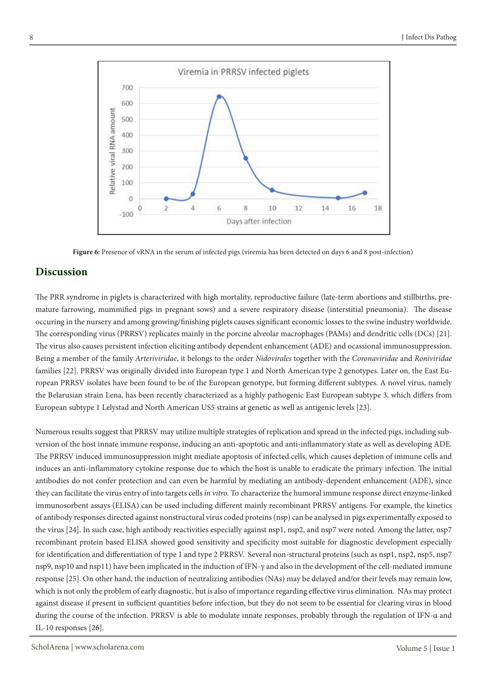

**Figure 6:** Presence of vRNA in the serum of infected pigs (viremia has been detected on days 6 and 8 post-infection)

## **Discussion**

The PRR syndrome in piglets is characterized with high mortality, reproductive failure (late-term abortions and stillbirths, premature farrowing, mummified pigs in pregnant sows) and a severe respiratory disease (interstitial pneumonia). The disease occuring in the nursery and among growing/finishing piglets causes significant economic losses to the swine industry worldwide. The corresponding virus (PRRSV) replicates mainly in the porcine alveolar macrophages (PAMs) and dendritic cells (DCs) [21]. The virus also causes persistent infection eliciting antibody dependent enhancement (ADE) and ocassional immunosuppression. Being a member of the family *Arteriviridae*, it belongs to the order *Nidovirales* together with the *Coronaviridae* and *Roniviridae* families [22]. PRRSV was originally divided into European type 1 and North American type 2 genotypes. Later on, the East European PRRSV isolates have been found to be of the European genotype, but forming different subtypes. A novel virus, namely the Belarusian strain Lena, has been recently characterized as a highly pathogenic East European subtype 3, which differs from European subtype 1 Lelystad and North American US5 strains at genetic as well as antigenic levels [23].

Numerous results suggest that PRRSV may utilize multiple strategies of replication and spread in the infected pigs, including subversion of the host innate immune response, inducing an anti-apoptotic and anti-inflammatory state as well as developing ADE. The PRRSV induced immunosuppression might mediate apoptosis of infected cells, which causes depletion of immune cells and induces an anti-inflammatory cytokine response due to which the host is unable to eradicate the primary infection. The initial antibodies do not confer protection and can even be harmful by mediating an antibody-dependent enhancement (ADE), since they can facilitate the virus entry of into targets cells *in vitro*. To characterize the humoral immune response direct enzyme-linked immunosorbent assays (ELISA) can be used including different mainly recombinant PRRSV antigens. For example, the kinetics of antibody responses directed against nonstructural virus coded proteins (nsp) can be analysed in pigs experimentally exposed to the virus [24]. In such case, high antibody reactivities especially against nsp1, nsp2, and nsp7 were noted. Among the latter, nsp7 recombinant protein based ELISA showed good sensitivity and specificity most suitable for diagnostic development especially for identification and differentiation of type 1 and type 2 PRRSV. Several non-structural proteins (such as nsp1, nsp2, nsp5, nsp7 nsp9, nsp10 and nsp11) have been implicated in the induction of IFN-γ and also in the development of the cell-mediated immune response [25]. On other hand, the induction of neutralizing antibodies (NAs) may be delayed and/or their levels may remain low, which is not only the problem of early diagnostic, but is also of importance regarding effective virus elimination. NAs may protect against disease if present in sufficient quantities before infection, but they do not seem to be essential for clearing virus in blood during the course of the infection. PRRSV is able to modulate innate responses, probably through the regulation of IFN-α and IL-10 responses [26].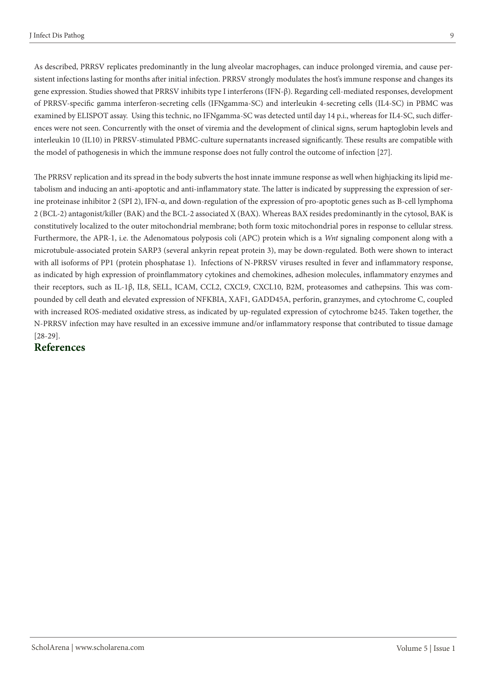As described, PRRSV replicates predominantly in the lung alveolar macrophages, can induce prolonged viremia, and cause persistent infections lasting for months after initial infection. PRRSV strongly modulates the host's immune response and changes its gene expression. Studies showed that PRRSV inhibits type I interferons (IFN-β). Regarding cell-mediated responses, development of PRRSV-specific gamma interferon-secreting cells (IFNgamma-SC) and interleukin 4-secreting cells (IL4-SC) in PBMC was examined by ELISPOT assay. Using this technic, no IFNgamma-SC was detected until day 14 p.i., whereas for IL4-SC, such differences were not seen. Concurrently with the onset of viremia and the development of clinical signs, serum haptoglobin levels and interleukin 10 (IL10) in PRRSV-stimulated PBMC-culture supernatants increased significantly. These results are compatible with the model of pathogenesis in which the immune response does not fully control the outcome of infection [27].

The PRRSV replication and its spread in the body subverts the host innate immune response as well when highjacking its lipid metabolism and inducing an anti-apoptotic and anti-inflammatory state. The latter is indicated by suppressing the expression of serine proteinase inhibitor 2 (SPI 2), IFN-α, and down-regulation of the expression of pro-apoptotic genes such as B-cell lymphoma 2 (BCL-2) antagonist/killer (BAK) and the BCL-2 associated X (BAX). Whereas BAX resides predominantly in the cytosol, BAK is constitutively localized to the outer mitochondrial membrane; both form toxic mitochondrial pores in response to cellular stress. Furthermore, the APR-1, i.e. the Adenomatous polyposis coli (APC) protein which is a *Wnt* signaling component along with a microtubule-associated protein SARP3 (several ankyrin repeat protein 3), may be down-regulated. Both were shown to interact with all isoforms of PP1 (protein phosphatase 1). Infections of N-PRRSV viruses resulted in fever and inflammatory response, as indicated by high expression of proinflammatory cytokines and chemokines, adhesion molecules, inflammatory enzymes and their receptors, such as IL-1β, IL8, SELL, ICAM, CCL2, CXCL9, CXCL10, B2M, proteasomes and cathepsins. This was compounded by cell death and elevated expression of NFKBIA, XAF1, GADD45A, perforin, granzymes, and cytochrome C, coupled with increased ROS-mediated oxidative stress, as indicated by up-regulated expression of cytochrome b245. Taken together, the N-PRRSV infection may have resulted in an excessive immune and/or inflammatory response that contributed to tissue damage [28-29].

## **References**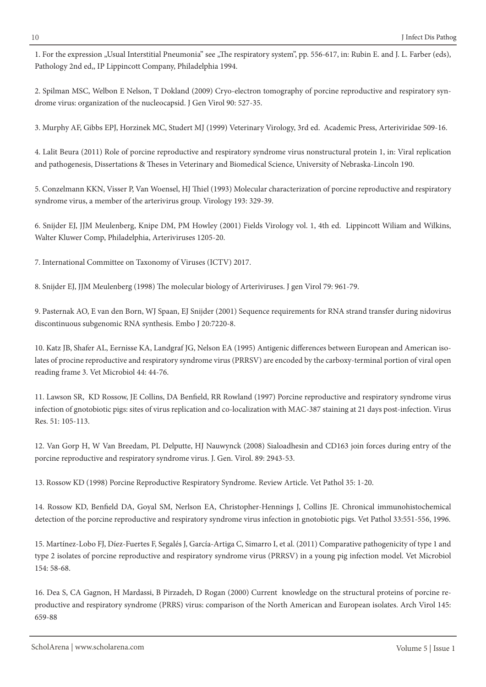1. For the expression "Usual Interstitial Pneumonia" see "The respiratory system", pp. 556-617, in: Rubin E. and J. L. Farber (eds), Pathology 2nd ed,, IP Lippincott Company, Philadelphia 1994.

2. Spilman MSC, Welbon E Nelson, T Dokland (2009) Cryo-electron tomography of porcine reproductive and respiratory syndrome virus: organization of the nucleocapsid. J Gen Virol 90: 527-35.

3. Murphy AF, Gibbs EPJ, Horzinek MC, Studert MJ (1999) Veterinary Virology, 3rd ed. Academic Press, Arteriviridae 509-16.

4. Lalit Beura (2011) Role of porcine reproductive and respiratory syndrome virus nonstructural protein 1, in: Viral replication and pathogenesis, Dissertations & Theses in Veterinary and Biomedical Science, University of Nebraska-Lincoln 190.

5. Conzelmann KKN, Visser P, Van Woensel, HJ Thiel (1993) Molecular characterization of porcine reproductive and respiratory syndrome virus, a member of the arterivirus group. Virology 193: 329-39.

6. Snijder EJ, JJM Meulenberg, Knipe DM, PM Howley (2001) Fields Virology vol. 1, 4th ed. Lippincott Wiliam and Wilkins, Walter Kluwer Comp, Philadelphia, Arteriviruses 1205-20.

7. International Committee on Taxonomy of Viruses (ICTV) 2017.

8. Snijder EJ, JJM Meulenberg (1998) The molecular biology of Arteriviruses. J gen Virol 79: 961-79.

9. Pasternak AO, E van den Born, WJ Spaan, EJ Snijder (2001) Sequence requirements for RNA strand transfer during nidovirus discontinuous subgenomic RNA synthesis. Embo J 20:7220-8.

10. Katz JB, Shafer AL, Eernisse KA, Landgraf JG, Nelson EA (1995) Antigenic differences between European and American isolates of procine reproductive and respiratory syndrome virus (PRRSV) are encoded by the carboxy-terminal portion of viral open reading frame 3. Vet Microbiol 44: 44-76.

11. Lawson SR, KD Rossow, JE Collins, DA Benfield, RR Rowland (1997) Porcine reproductive and respiratory syndrome virus infection of gnotobiotic pigs: sites of virus replication and co-localization with MAC-387 staining at 21 days post-infection. Virus Res. 51: 105-113.

12. Van Gorp H, W Van Breedam, PL Delputte, HJ Nauwynck (2008) Sialoadhesin and CD163 join forces during entry of the porcine reproductive and respiratory syndrome virus. J. Gen. Virol. 89: 2943-53.

13. Rossow KD (1998) Porcine Reproductive Respiratory Syndrome. Review Article. Vet Pathol 35: 1-20.

14. Rossow KD, Benfield DA, Goyal SM, Nerlson EA, Christopher-Hennings J, Collins JE. Chronical immunohistochemical detection of the porcine reproductive and respiratory syndrome virus infection in gnotobiotic pigs. Vet Pathol 33:551-556, 1996.

15. Martínez-Lobo FJ, Díez-Fuertes F, Segalés J, García-Artiga C, Simarro I, et al. (2011) Comparative pathogenicity of type 1 and type 2 isolates of porcine reproductive and respiratory syndrome virus (PRRSV) in a young pig infection model. Vet Microbiol 154: 58-68.

16. Dea S, CA Gagnon, H Mardassi, B Pirzadeh, D Rogan (2000) Current knowledge on the structural proteins of porcine reproductive and respiratory syndrome (PRRS) virus: comparison of the North American and European isolates. Arch Virol 145: 659-88